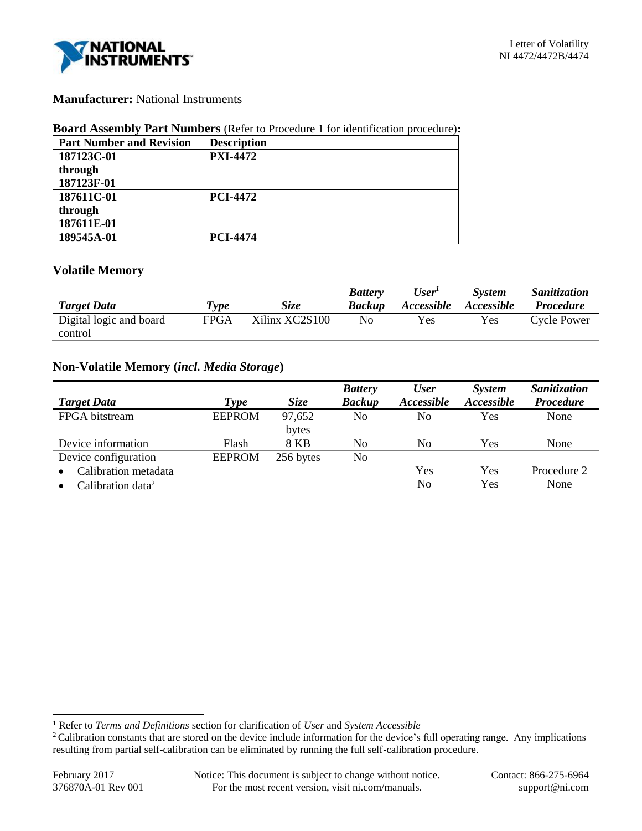

## **Manufacturer:** National Instruments

### **Board Assembly Part Numbers** (Refer to Procedure 1 for identification procedure)**:**

| <b>Part Number and Revision</b> | <b>Description</b> |
|---------------------------------|--------------------|
| 187123C-01                      | <b>PXI-4472</b>    |
| through                         |                    |
| 187123F-01                      |                    |
| 187611C-01                      | <b>PCI-4472</b>    |
| through                         |                    |
| 187611E-01                      |                    |
| 189545A-01                      | <b>PCI-4474</b>    |

## **Volatile Memory**

| <b>Target Data</b>      | Type | <b>Size</b>    | <b>Battery</b><br><b>Backup</b> | $\boldsymbol{User}^{\boldsymbol{I}}$<br><i>Accessible</i> | <b>System</b><br>Accessible | Sanitization<br><i>Procedure</i> |
|-------------------------|------|----------------|---------------------------------|-----------------------------------------------------------|-----------------------------|----------------------------------|
| Digital logic and board | FPGA | Xilinx XC2S100 | No                              | Yes                                                       | Yes                         | Cycle Power                      |
| control                 |      |                |                                 |                                                           |                             |                                  |

# **Non-Volatile Memory (***incl. Media Storage***)**

| <b>Target Data</b>            | Type          | <i>Size</i>     | <b>Battery</b><br><b>Backup</b> | <b>User</b><br>Accessible | <b>System</b><br><b>Accessible</b> | Sanitization<br><b>Procedure</b> |
|-------------------------------|---------------|-----------------|---------------------------------|---------------------------|------------------------------------|----------------------------------|
| FPGA bitstream                | <b>EEPROM</b> | 97,652<br>bytes | No                              | No                        | Yes                                | None                             |
| Device information            | Flash         | 8 KB            | No                              | No                        | Yes                                | None                             |
| Device configuration          | <b>EEPROM</b> | 256 bytes       | No                              |                           |                                    |                                  |
| Calibration metadata          |               |                 |                                 | Yes                       | Yes                                | Procedure 2                      |
| Calibration data <sup>2</sup> |               |                 |                                 | N <sub>0</sub>            | Yes                                | None                             |

l

<sup>1</sup> Refer to *Terms and Definitions* section for clarification of *User* and *System Accessible*

<sup>&</sup>lt;sup>2</sup>Calibration constants that are stored on the device include information for the device's full operating range. Any implications resulting from partial self-calibration can be eliminated by running the full self-calibration procedure.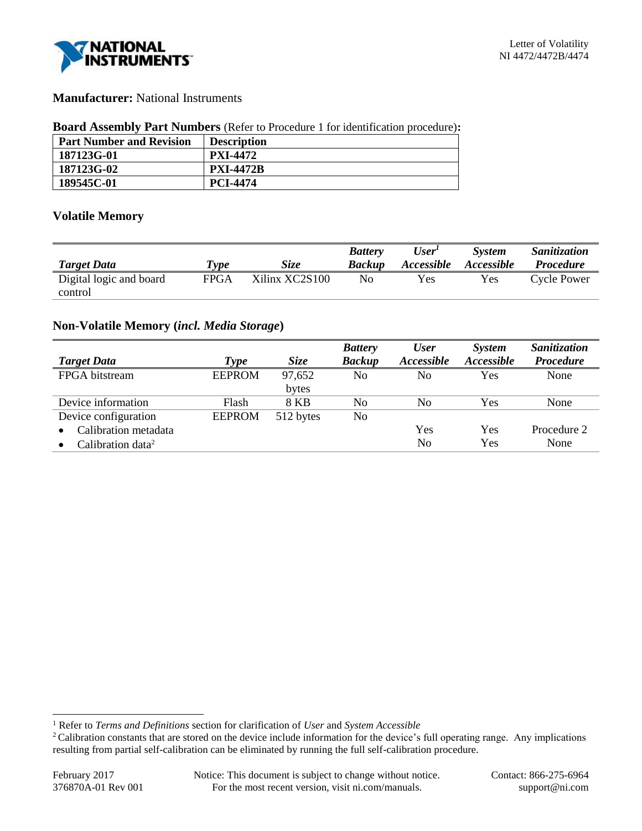

## **Manufacturer:** National Instruments

### **Board Assembly Part Numbers** (Refer to Procedure 1 for identification procedure)**:**

| <b>Part Number and Revision</b> | <b>Description</b> |
|---------------------------------|--------------------|
| 187123G-01                      | <b>PXI-4472</b>    |
| 187123G-02                      | <b>PXI-4472B</b>   |
| 189545C-01                      | <b>PCI-4474</b>    |

## **Volatile Memory**

| <b>Target Data</b>      | <b>Type</b> | <i>Size</i>    | <b>Battery</b><br><b>Backup</b> | User <sup>1</sup><br><i>Accessible</i> | System<br><i>Accessible</i> | Sanitization<br><b>Procedure</b> |
|-------------------------|-------------|----------------|---------------------------------|----------------------------------------|-----------------------------|----------------------------------|
| Digital logic and board | FPGA        | Xilinx XC2S100 | No                              | Yes                                    | Yes                         | Cycle Power                      |
| control                 |             |                |                                 |                                        |                             |                                  |

## **Non-Volatile Memory (***incl. Media Storage***)**

|                               |               |             | <b>Battery</b> | <b>User</b> | <i>System</i>     | Sanitization     |
|-------------------------------|---------------|-------------|----------------|-------------|-------------------|------------------|
| <b>Target Data</b>            | Type          | <b>Size</b> | <b>Backup</b>  | Accessible  | <b>Accessible</b> | <b>Procedure</b> |
| FPGA bitstream                | <b>EEPROM</b> | 97,652      | No             | No          | Yes               | None             |
|                               |               | bytes       |                |             |                   |                  |
| Device information            | Flash         | 8 KB        | No             | No          | Yes               | None             |
| Device configuration          | <b>EEPROM</b> | 512 bytes   | No             |             |                   |                  |
| Calibration metadata          |               |             |                | Yes         | Yes               | Procedure 2      |
| Calibration data <sup>2</sup> |               |             |                | No          | Yes               | None             |

l

<sup>1</sup> Refer to *Terms and Definitions* section for clarification of *User* and *System Accessible*

<sup>&</sup>lt;sup>2</sup>Calibration constants that are stored on the device include information for the device's full operating range. Any implications resulting from partial self-calibration can be eliminated by running the full self-calibration procedure.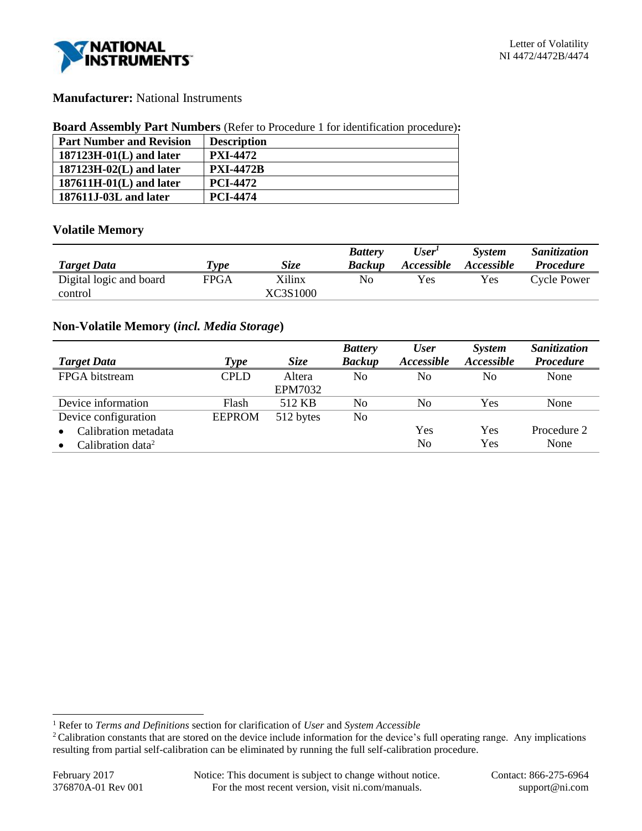

## **Manufacturer:** National Instruments

### **Board Assembly Part Numbers** (Refer to Procedure 1 for identification procedure)**:**

| <b>Part Number and Revision</b> | <b>Description</b> |
|---------------------------------|--------------------|
| $187123H-01(L)$ and later       | <b>PXI-4472</b>    |
| $187123H-02(L)$ and later       | <b>PXI-4472B</b>   |
| $187611H-01(L)$ and later       | <b>PCI-4472</b>    |
| 187611J-03L and later           | <b>PCI-4474</b>    |

### **Volatile Memory**

|                         |      |             | <b>Battery</b> | User'             | <b>System</b>     | <i>Sanitization</i> |
|-------------------------|------|-------------|----------------|-------------------|-------------------|---------------------|
| <b>Target Data</b>      | Type | <b>Size</b> | <b>Backup</b>  | <b>Accessible</b> | <i>Accessible</i> | <i>Procedure</i>    |
| Digital logic and board | FPGA | Xilinx      | No             | Yes               | Yes               | Cycle Power         |
| control                 |      | XC3S1000    |                |                   |                   |                     |

## **Non-Volatile Memory (***incl. Media Storage***)**

|                               |               |                | <b>Battery</b> | <b>User</b>       | <b>System</b>     | Sanitization     |
|-------------------------------|---------------|----------------|----------------|-------------------|-------------------|------------------|
| <b>Target Data</b>            | Type          | Size           | <b>Backup</b>  | <b>Accessible</b> | <b>Accessible</b> | <b>Procedure</b> |
| FPGA bitstream                | <b>CPLD</b>   | Altera         | N <sub>0</sub> | N <sub>0</sub>    | No                | None             |
|                               |               | <b>EPM7032</b> |                |                   |                   |                  |
| Device information            | Flash         | 512 KB         | N <sub>0</sub> | No                | Yes               | None             |
| Device configuration          | <b>EEPROM</b> | 512 bytes      | No             |                   |                   |                  |
| Calibration metadata          |               |                |                | Yes               | <b>Yes</b>        | Procedure 2      |
| Calibration data <sup>2</sup> |               |                |                | No                | Yes               | None             |

l

<sup>1</sup> Refer to *Terms and Definitions* section for clarification of *User* and *System Accessible*

<sup>&</sup>lt;sup>2</sup>Calibration constants that are stored on the device include information for the device's full operating range. Any implications resulting from partial self-calibration can be eliminated by running the full self-calibration procedure.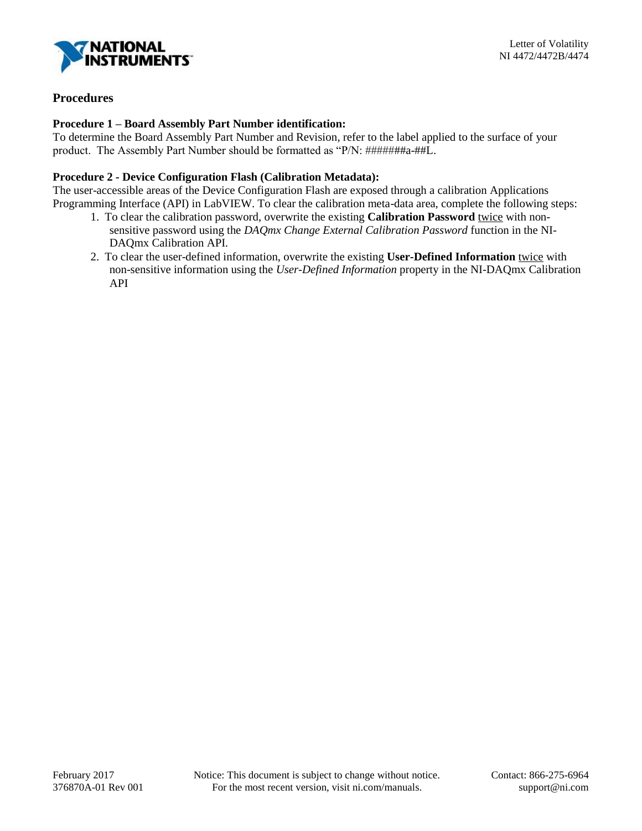

## **Procedures**

### **Procedure 1 – Board Assembly Part Number identification:**

To determine the Board Assembly Part Number and Revision, refer to the label applied to the surface of your product. The Assembly Part Number should be formatted as "P/N: #######a-##L.

### **Procedure 2 - Device Configuration Flash (Calibration Metadata):**

The user-accessible areas of the Device Configuration Flash are exposed through a calibration Applications Programming Interface (API) in LabVIEW. To clear the calibration meta-data area, complete the following steps:

- 1. To clear the calibration password, overwrite the existing **Calibration Password** twice with nonsensitive password using the *DAQmx Change External Calibration Password* function in the NI-DAQmx Calibration API.
- 2. To clear the user-defined information, overwrite the existing **User-Defined Information** twice with non-sensitive information using the *User-Defined Information* property in the NI-DAQmx Calibration API